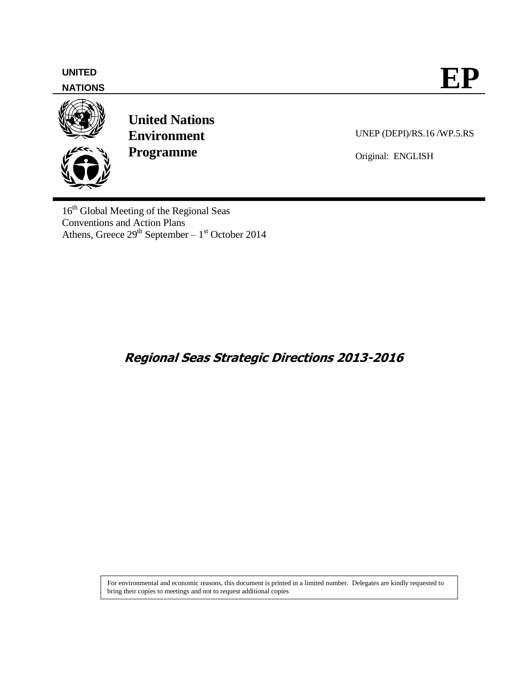

UNEP (DEPI)/RS.16 /WP.5.RS

Original: ENGLISH

16<sup>th</sup> Global Meeting of the Regional Seas Conventions and Action Plans Athens, Greece  $29<sup>th</sup>$  September –  $1<sup>st</sup>$  October 2014

# **Regional Seas Strategic Directions 2013-2016**

For environmental and economic reasons, this document is printed in a limited number. Delegates are kindly requested to bring their copies to meetings and not to request additional copies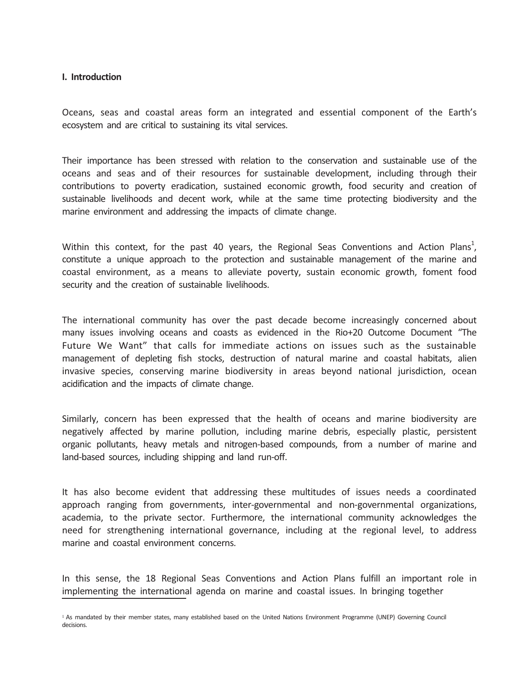#### **I. Introduction**

Oceans, seas and coastal areas form an integrated and essential component of the Earth's ecosystem and are critical to sustaining its vital services.

Their importance has been stressed with relation to the conservation and sustainable use of the oceans and seas and of their resources for sustainable development, including through their contributions to poverty eradication, sustained economic growth, food security and creation of sustainable livelihoods and decent work, while at the same time protecting biodiversity and the marine environment and addressing the impacts of climate change.

Within this context, for the past 40 years, the Regional Seas Conventions and Action Plans<sup>1</sup>, constitute a unique approach to the protection and sustainable management of the marine and coastal environment, as a means to alleviate poverty, sustain economic growth, foment food security and the creation of sustainable livelihoods.

The international community has over the past decade become increasingly concerned about many issues involving oceans and coasts as evidenced in the Rio+20 Outcome Document "The Future We Want" that calls for immediate actions on issues such as the sustainable management of depleting fish stocks, destruction of natural marine and coastal habitats, alien invasive species, conserving marine biodiversity in areas beyond national jurisdiction, ocean acidification and the impacts of climate change.

Similarly, concern has been expressed that the health of oceans and marine biodiversity are negatively affected by marine pollution, including marine debris, especially plastic, persistent organic pollutants, heavy metals and nitrogen-based compounds, from a number of marine and land-based sources, including shipping and land run-off.

It has also become evident that addressing these multitudes of issues needs a coordinated approach ranging from governments, inter-governmental and non-governmental organizations, academia, to the private sector. Furthermore, the international community acknowledges the need for strengthening international governance, including at the regional level, to address marine and coastal environment concerns.

In this sense, the 18 Regional Seas Conventions and Action Plans fulfill an important role in implementing the international agenda on marine and coastal issues. In bringing together

<sup>&</sup>lt;sup>1</sup> As mandated by their member states, many established based on the United Nations Environment Programme (UNEP) Governing Council decisions.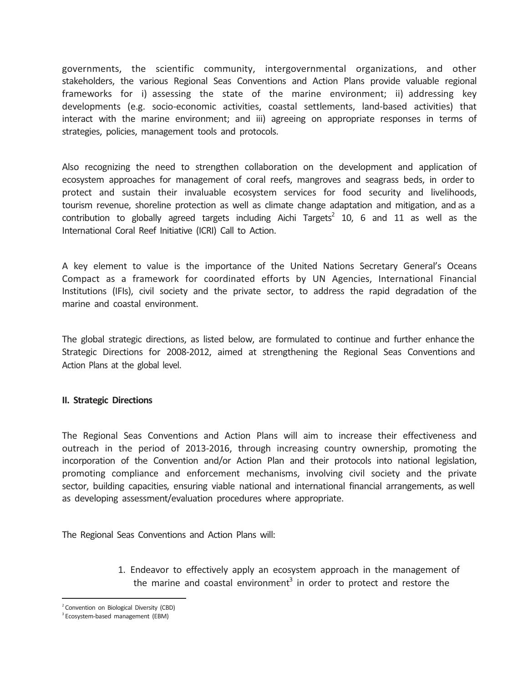governments, the scientific community, intergovernmental organizations, and other stakeholders, the various Regional Seas Conventions and Action Plans provide valuable regional frameworks for i) assessing the state of the marine environment; ii) addressing key developments (e.g. socio-economic activities, coastal settlements, land-based activities) that interact with the marine environment; and iii) agreeing on appropriate responses in terms of strategies, policies, management tools and protocols.

Also recognizing the need to strengthen collaboration on the development and application of ecosystem approaches for management of coral reefs, mangroves and seagrass beds, in order to protect and sustain their invaluable ecosystem services for food security and livelihoods, tourism revenue, shoreline protection as well as climate change adaptation and mitigation, and as a contribution to globally agreed targets including Aichi Targets<sup>2</sup> 10, 6 and 11 as well as the International Coral Reef Initiative (ICRI) Call to Action.

A key element to value is the importance of the United Nations Secretary General's Oceans Compact as a framework for coordinated efforts by UN Agencies, International Financial Institutions (IFIs), civil society and the private sector, to address the rapid degradation of the marine and coastal environment.

The global strategic directions, as listed below, are formulated to continue and further enhance the Strategic Directions for 2008-2012, aimed at strengthening the Regional Seas Conventions and Action Plans at the global level.

#### **II. Strategic Directions**

The Regional Seas Conventions and Action Plans will aim to increase their effectiveness and outreach in the period of 2013-2016, through increasing country ownership, promoting the incorporation of the Convention and/or Action Plan and their protocols into national legislation, promoting compliance and enforcement mechanisms, involving civil society and the private sector, building capacities, ensuring viable national and international financial arrangements, as well as developing assessment/evaluation procedures where appropriate.

The Regional Seas Conventions and Action Plans will:

1. Endeavor to effectively apply an ecosystem approach in the management of the marine and coastal environment<sup>3</sup> in order to protect and restore the

<sup>&</sup>lt;sup>2</sup> Convention on Biological Diversity (CBD)

<sup>&</sup>lt;sup>3</sup> Ecosystem-based management (EBM)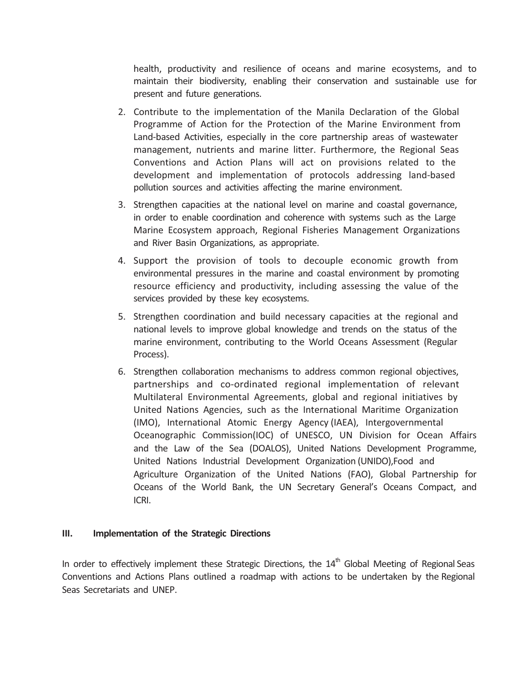health, productivity and resilience of oceans and marine ecosystems, and to maintain their biodiversity, enabling their conservation and sustainable use for present and future generations.

- 2. Contribute to the implementation of the Manila Declaration of the Global Programme of Action for the Protection of the Marine Environment from Land-based Activities, especially in the core partnership areas of wastewater management, nutrients and marine litter. Furthermore, the Regional Seas Conventions and Action Plans will act on provisions related to the development and implementation of protocols addressing land-based pollution sources and activities affecting the marine environment.
- 3. Strengthen capacities at the national level on marine and coastal governance, in order to enable coordination and coherence with systems such as the Large Marine Ecosystem approach, Regional Fisheries Management Organizations and River Basin Organizations, as appropriate.
- 4. Support the provision of tools to decouple economic growth from environmental pressures in the marine and coastal environment by promoting resource efficiency and productivity, including assessing the value of the services provided by these key ecosystems.
- 5. Strengthen coordination and build necessary capacities at the regional and national levels to improve global knowledge and trends on the status of the marine environment, contributing to the World Oceans Assessment (Regular Process).
- 6. Strengthen collaboration mechanisms to address common regional objectives, partnerships and co-ordinated regional implementation of relevant Multilateral Environmental Agreements, global and regional initiatives by United Nations Agencies, such as the International Maritime Organization (IMO), International Atomic Energy Agency (IAEA), Intergovernmental Oceanographic Commission(IOC) of UNESCO, UN Division for Ocean Affairs and the Law of the Sea (DOALOS), United Nations Development Programme, United Nations Industrial Development Organization (UNIDO),Food and Agriculture Organization of the United Nations (FAO), Global Partnership for Oceans of the World Bank, the UN Secretary General's Oceans Compact, and ICRI.

### **III. Implementation of the Strategic Directions**

In order to effectively implement these Strategic Directions, the  $14<sup>th</sup>$  Global Meeting of Regional Seas Conventions and Actions Plans outlined a roadmap with actions to be undertaken by the Regional Seas Secretariats and UNEP.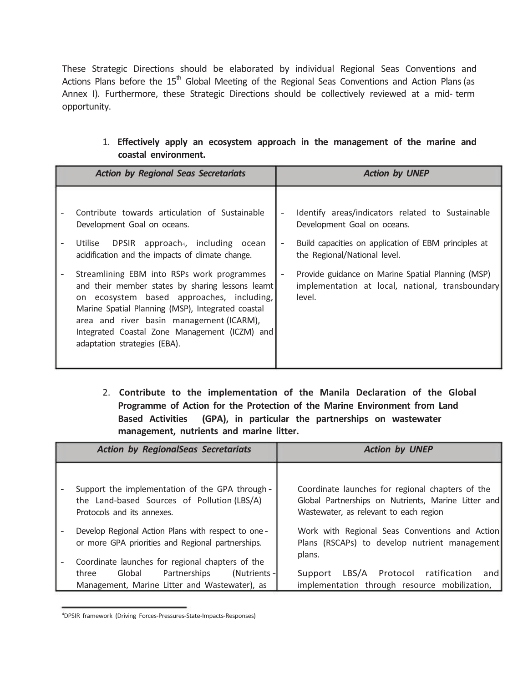These Strategic Directions should be elaborated by individual Regional Seas Conventions and Actions Plans before the  $15<sup>th</sup>$  Global Meeting of the Regional Seas Conventions and Action Plans (as Annex I). Furthermore, these Strategic Directions should be collectively reviewed at a mid- term opportunity.

| <b>Action by Regional Seas Secretariats</b> |                                                                                                                                                                                                                                                                                                                                | <b>Action by UNEP</b> |                                                                                                                                                                         |
|---------------------------------------------|--------------------------------------------------------------------------------------------------------------------------------------------------------------------------------------------------------------------------------------------------------------------------------------------------------------------------------|-----------------------|-------------------------------------------------------------------------------------------------------------------------------------------------------------------------|
|                                             | Contribute towards articulation of Sustainable<br>Development Goal on oceans.<br>DPSIR approach <sub>4</sub> , including ocean<br>Utilise<br>acidification and the impacts of climate change.                                                                                                                                  |                       | Identify areas/indicators related to Sustainable<br>Development Goal on oceans.<br>Build capacities on application of EBM principles at<br>the Regional/National level. |
| $\overline{\phantom{a}}$                    | Streamlining EBM into RSPs work programmes<br>and their member states by sharing lessons learnt<br>on ecosystem based approaches, including,<br>Marine Spatial Planning (MSP), Integrated coastal<br>area and river basin management (ICARM),<br>Integrated Coastal Zone Management (ICZM) and<br>adaptation strategies (EBA). |                       | Provide guidance on Marine Spatial Planning (MSP)<br>implementation at local, national, transboundary<br>level.                                                         |

1. **Effectively apply an ecosystem approach in the management of the marine and coastal environment.** 

2. **Contribute to the implementation of the Manila Declaration of the Global Programme of Action for the Protection of the Marine Environment from Land Based Activities (GPA), in particular the partnerships on wastewater management, nutrients and marine litter.** 

| <b>Action by RegionalSeas Secretariats</b>                                                                                                                   | <b>Action by UNEP</b>                                                                                                                             |
|--------------------------------------------------------------------------------------------------------------------------------------------------------------|---------------------------------------------------------------------------------------------------------------------------------------------------|
| Support the implementation of the GPA through -<br>the Land-based Sources of Pollution (LBS/A)<br>Protocols and its annexes.                                 | Coordinate launches for regional chapters of the<br>Global Partnerships on Nutrients, Marine Litter and<br>Wastewater, as relevant to each region |
| Develop Regional Action Plans with respect to one -<br>or more GPA priorities and Regional partnerships.<br>Coordinate launches for regional chapters of the | Work with Regional Seas Conventions and Action<br>Plans (RSCAPs) to develop nutrient management<br>plans.                                         |
| (Nutrients -<br>Global<br>Partnerships<br>three<br>Management, Marine Litter and Wastewater), as                                                             | LBS/A Protocol ratification<br>Support<br>and<br>implementation through resource mobilization,                                                    |

<sup>4</sup> DPSIR framework (Driving Forces-Pressures-State-Impacts-Responses)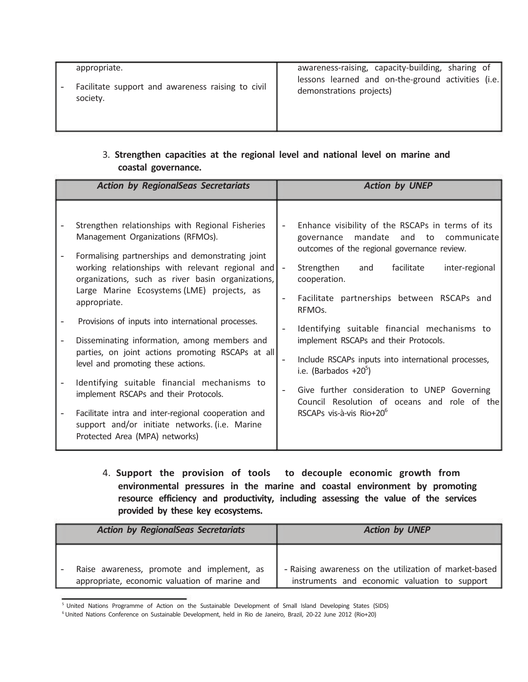| appropriate.                                                  | awareness-raising, capacity-building, sharing of                               |
|---------------------------------------------------------------|--------------------------------------------------------------------------------|
| Facilitate support and awareness raising to civil<br>society. | lessons learned and on-the-ground activities (i.e.<br>demonstrations projects) |

## 3. **Strengthen capacities at the regional level and national level on marine and coastal governance.**

| <b>Action by RegionalSeas Secretariats</b>                                                                                                                                                                                                                                                                                                                                                                                                                                                                                                                                                                                                                                                                                                            | <b>Action by UNEP</b>                                                                                                                                                                                                                                                                                                                                                                                                                                                                                                                                                                                                |
|-------------------------------------------------------------------------------------------------------------------------------------------------------------------------------------------------------------------------------------------------------------------------------------------------------------------------------------------------------------------------------------------------------------------------------------------------------------------------------------------------------------------------------------------------------------------------------------------------------------------------------------------------------------------------------------------------------------------------------------------------------|----------------------------------------------------------------------------------------------------------------------------------------------------------------------------------------------------------------------------------------------------------------------------------------------------------------------------------------------------------------------------------------------------------------------------------------------------------------------------------------------------------------------------------------------------------------------------------------------------------------------|
| Strengthen relationships with Regional Fisheries<br>Management Organizations (RFMOs).<br>Formalising partnerships and demonstrating joint<br>working relationships with relevant regional and<br>organizations, such as river basin organizations,<br>Large Marine Ecosystems (LME) projects, as<br>appropriate.<br>Provisions of inputs into international processes.<br>Disseminating information, among members and<br>parties, on joint actions promoting RSCAPs at all<br>level and promoting these actions.<br>Identifying suitable financial mechanisms to<br>implement RSCAPs and their Protocols.<br>Facilitate intra and inter-regional cooperation and<br>support and/or initiate networks. (i.e. Marine<br>Protected Area (MPA) networks) | Enhance visibility of the RSCAPs in terms of its<br>mandate<br>and to communicate<br>governance<br>outcomes of the regional governance review.<br>facilitate<br>Strengthen<br>and<br>inter-regional<br>$\sim$<br>cooperation.<br>Facilitate partnerships between RSCAPs and<br>RFMO <sub>s</sub> .<br>Identifying suitable financial mechanisms to<br>implement RSCAPs and their Protocols.<br>Include RSCAPs inputs into international processes,<br>i.e. (Barbados $+20^5$ )<br>Give further consideration to UNEP Governing<br>Council Resolution of oceans and role of the<br>RSCAPs vis-à-vis Rio+20 $^{\circ}$ |

4. **Support the provision of tools to decouple economic growth from environmental pressures in the marine and coastal environment by promoting resource efficiency and productivity, including assessing the value of the services provided by these key ecosystems.** 

| <b>Action by RegionalSeas Secretariats</b>                                                  | <b>Action by UNEP</b>                                                                                   |
|---------------------------------------------------------------------------------------------|---------------------------------------------------------------------------------------------------------|
| Raise awareness, promote and implement, as<br>appropriate, economic valuation of marine and | - Raising awareness on the utilization of market-based<br>instruments and economic valuation to support |

<sup>&</sup>lt;sup>5</sup> United Nations Programme of Action on the Sustainable Development of Small Island Developing States (SIDS)

<sup>&</sup>lt;sup>6</sup> United Nations Conference on Sustainable Development, held in Rio de Janeiro, Brazil, 20-22 June 2012 (Rio+20)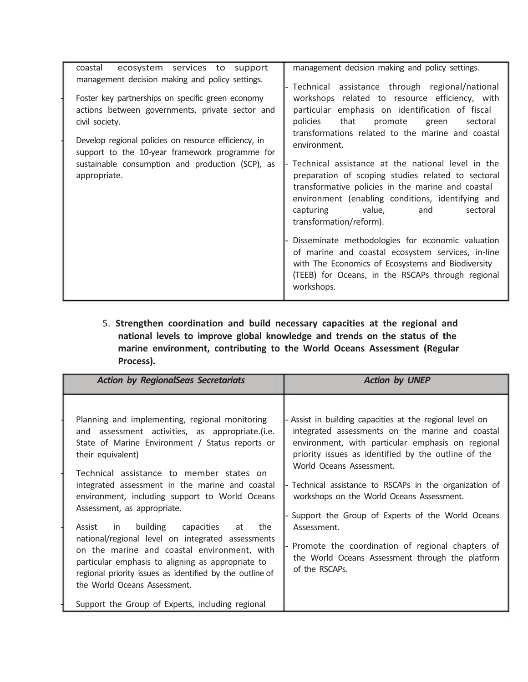| ecosystem services to support<br>coastal                                                                                                                                                                                                                                                                                                                | management decision making and policy settings.                                                                                                                                                                                                                                                                                                                                                                                                                                                                                                                                                                                                                                                                                                                                                   |
|---------------------------------------------------------------------------------------------------------------------------------------------------------------------------------------------------------------------------------------------------------------------------------------------------------------------------------------------------------|---------------------------------------------------------------------------------------------------------------------------------------------------------------------------------------------------------------------------------------------------------------------------------------------------------------------------------------------------------------------------------------------------------------------------------------------------------------------------------------------------------------------------------------------------------------------------------------------------------------------------------------------------------------------------------------------------------------------------------------------------------------------------------------------------|
| management decision making and policy settings.<br>Foster key partnerships on specific green economy<br>actions between governments, private sector and<br>civil society.<br>Develop regional policies on resource efficiency, in<br>support to the 10-year framework programme for<br>sustainable consumption and production (SCP), as<br>appropriate. | Technical assistance through regional/national<br>workshops related to resource efficiency, with<br>particular emphasis on identification of fiscal<br>that promote<br>policies<br>green<br>sectoral<br>transformations related to the marine and coastal<br>environment.<br>Technical assistance at the national level in the<br>preparation of scoping studies related to sectoral<br>transformative policies in the marine and coastal<br>environment (enabling conditions, identifying and<br>capturing value,<br>and<br>sectoral<br>transformation/reform).<br>Disseminate methodologies for economic valuation<br>of marine and coastal ecosystem services, in-line<br>with The Economics of Ecosystems and Biodiversity<br>(TEEB) for Oceans, in the RSCAPs through regional<br>workshops. |

5. **Strengthen coordination and build necessary capacities at the regional and national levels to improve global knowledge and trends on the status of the marine environment, contributing to the World Oceans Assessment (Regular Process).** 

| <b>Action by RegionalSeas Secretariats</b>                                                                                                                                                                                                                                                                                                                                                                                                                                                                                                                                                                                                                                                                          | <b>Action by UNEP</b>                                                                                                                                                                                                                                                                                                                                                                                                                                                                                                                                 |
|---------------------------------------------------------------------------------------------------------------------------------------------------------------------------------------------------------------------------------------------------------------------------------------------------------------------------------------------------------------------------------------------------------------------------------------------------------------------------------------------------------------------------------------------------------------------------------------------------------------------------------------------------------------------------------------------------------------------|-------------------------------------------------------------------------------------------------------------------------------------------------------------------------------------------------------------------------------------------------------------------------------------------------------------------------------------------------------------------------------------------------------------------------------------------------------------------------------------------------------------------------------------------------------|
| Planning and implementing, regional monitoring<br>and assessment activities, as appropriate.(i.e.<br>State of Marine Environment / Status reports or<br>their equivalent)<br>Technical assistance to member states on<br>integrated assessment in the marine and coastal<br>environment, including support to World Oceans<br>Assessment, as appropriate.<br>Assist in<br>building<br>capacities<br>at the<br>national/regional level on integrated assessments<br>on the marine and coastal environment, with<br>particular emphasis to aligning as appropriate to<br>regional priority issues as identified by the outline of<br>the World Oceans Assessment.<br>Support the Group of Experts, including regional | Assist in building capacities at the regional level on<br>integrated assessments on the marine and coastal<br>environment, with particular emphasis on regional<br>priority issues as identified by the outline of the<br>World Oceans Assessment.<br>Technical assistance to RSCAPs in the organization of<br>workshops on the World Oceans Assessment.<br>Support the Group of Experts of the World Oceans<br>Assessment.<br>Promote the coordination of regional chapters of<br>the World Oceans Assessment through the platform<br>of the RSCAPs. |